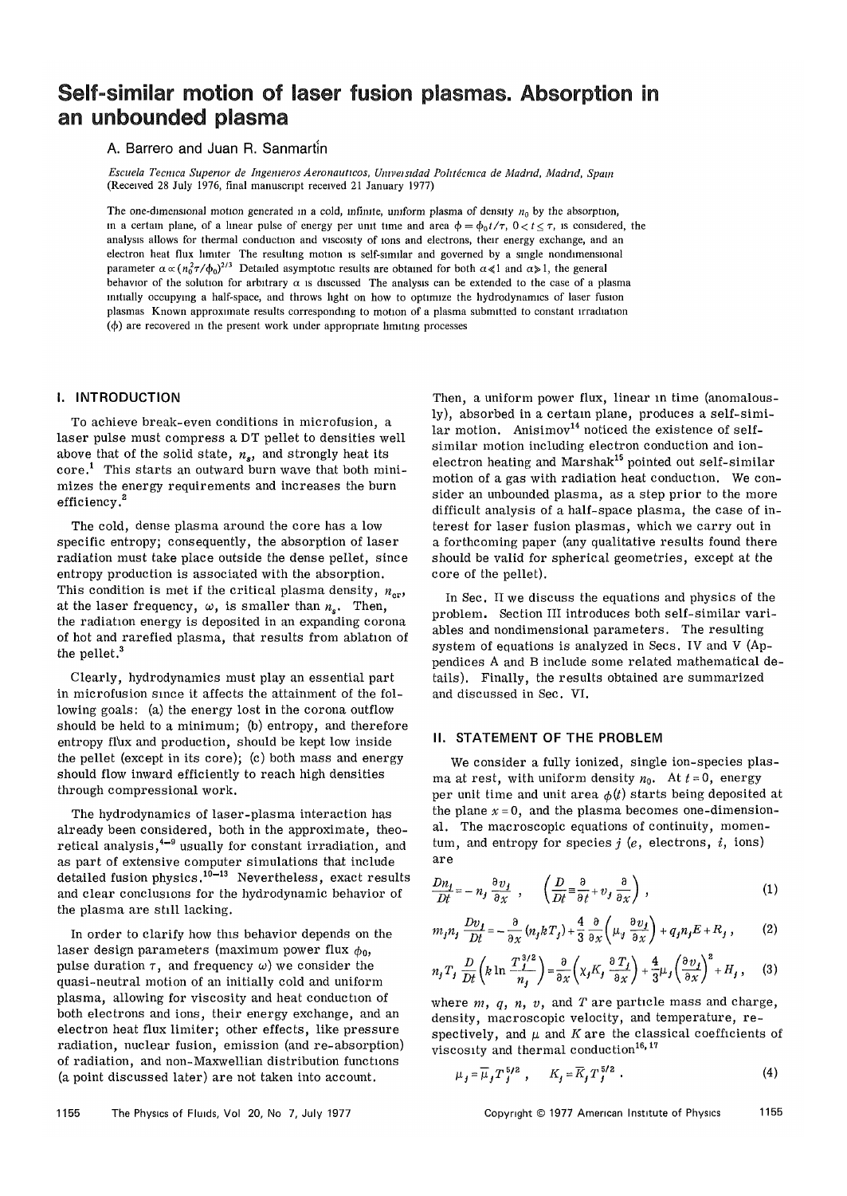# Self-similar motion of laser fusion plasmas. Absorption in an unbounded plasma

# A. Barrero and Juan R. Sanmartin

*Escuela Tecmca Superior de Ingemeros Aeronauticos, Umveisidad Pohtecnica de Madrid, Madrid, Spam*  (Received 28 July 1976, final manuscript received 21 January 1977)

The one-dimensional motion generated in a cold, infinite, uniform plasma of density  $n<sub>0</sub>$  by the absorption, in a certain plane, of a linear pulse of energy per unit time and area  $\phi = \phi_0 t/\tau$ ,  $0 < t \le \tau$ , is considered, the analysis allows for thermal conduction and viscosity of ions and electrons, their energy exchange, and an electron heat flux limiter The resulting motion is self-similar and governed by a single nondimensional parameter  $\alpha \propto (n_0^2 \tau/\phi_0)^{2/3}$  Detailed asymptotic results are obtained for both  $\alpha \ll 1$  and  $\alpha \gg 1$ , the general behavior of the solution for arbitrary  $\alpha$  is discussed The analysis can be extended to the case of a plasma initially occupying a half-space, and throws light on how to optimize the hydrodynamics of laser fusion plasmas Known approximate results corresponding to motion of a plasma submitted to constant irradiation  $(\phi)$  are recovered in the present work under appropriate limiting processes

# I. INTRODUCTION

To achieve break-even conditions in microfusion, a laser pulse must compress a DT pellet to densities well above that of the solid state,  $n_s$ , and strongly heat its core.<sup>1</sup> This starts an outward burn wave that both minimizes the energy requirements and increases the burn efficiency.<sup>2</sup>

The cold, dense plasma around the core has a low specific entropy; consequently, the absorption of laser radiation must take place outside the dense pellet, since entropy production is associated with the absorption. This condition is met if the critical plasma density,  $n_{cr}$ , at the laser frequency,  $\omega$ , is smaller than  $n_s$ . Then, the radiation energy is deposited in an expanding corona of hot and rarefied plasma, that results from ablation of the pellet.<sup>3</sup>

Clearly, hydrodynamics must play an essential part in microfusion since it affects the attainment of the following goals: (a) the energy lost in the corona outflow should be held to a minimum; (b) entropy, and therefore entropy flux and production, should be kept low inside the pellet (except in its core); (c) both mass and energy should flow inward efficiently to reach high densities through compressional work.

The hydrodynamics of laser-plasma interaction has already been considered, both in the approximate, theoretical analysis,<sup>4-9</sup> usually for constant irradiation, and as part of extensive computer simulations that include detailed fusion physics.<sup>10-13</sup> Nevertheless, exact results and clear conclusions for the hydrodynamic behavior of the plasma are still lacking.

In order to clarify how this behavior depends on the laser design parameters (maximum power flux  $\phi_0$ , pulse duration  $\tau$ , and frequency  $\omega$ ) we consider the quasi-neutral motion of an initially cold and uniform plasma, allowing for viscosity and heat conduction of both electrons and ions, their energy exchange, and an electron heat flux limiter; other effects, like pressure radiation, nuclear fusion, emission (and re-absorption) of radiation, and non-Maxwellian distribution functions (a point discussed later) are not taken into account.

Then, a uniform power flux, linear in time (anomalously), absorbed in a certain plane, produces a self-simi- $\ln x$  motion. Anisimov<sup>14</sup> noticed the existence of selfsimilar motion including electron conduction and ionelectron heating and Marshak<sup>15</sup> pointed out self-similar motion of a gas with radiation heat conduction. We consider an unbounded plasma, as a step prior to the more difficult analysis of a half-space plasma, the case of interest for laser fusion plasmas, which we carry out in a forthcoming paper (any qualitative results found there should be valid for spherical geometries, except at the core of the pellet).

In Sec. II we discuss the equations and physics of the problem. Section III introduces both self-similar variables and nondimensional parameters. The resulting system of equations is analyzed in Secs. IV and V (Appendices A and B include some related mathematical details). Finally, the results obtained are summarized and discussed in Sec. VI.

#### II. STATEMENT OF THE PROBLEM

We consider a fully ionized, single ion-species plasma at rest, with uniform density  $n_0$ . At  $t = 0$ , energy per unit time and unit area  $\phi(t)$  starts being deposited at the plane  $x = 0$ , and the plasma becomes one-dimensional. The macroscopic equations of continuity, momentum, and entropy for species *j (e,* electrons, *i,* ions) are

$$
\frac{Dn_j}{Dt} = -n_j \frac{\partial v_j}{\partial x} , \qquad \left( \frac{D}{Dt} \equiv \frac{\partial}{\partial t} + v_j \frac{\partial}{\partial x} \right) , \qquad (1)
$$

$$
m_j n_j \frac{Dv_j}{Dt} = -\frac{\partial}{\partial x} (n_j k T_j) + \frac{4}{3} \frac{\partial}{\partial x} \left( \mu_y \frac{\partial v_j}{\partial x} \right) + q_j n_j E + R_j , \qquad (2)
$$

$$
n_j T_j \frac{D}{Dt} \left( k \ln \frac{T_j^{3/2}}{n_j} \right) = \frac{\partial}{\partial x} \left( \chi_j K_j \frac{\partial T_j}{\partial x} \right) + \frac{4}{3} \mu_j \left( \frac{\partial v_j}{\partial x} \right)^2 + H_j , \quad (3)
$$

where *m, q, n, v,* and *T* are particle mass and charge, density, macroscopic velocity, and temperature, respectively, and  $\mu$  and  $K$  are the classical coefficients of viscosity and thermal conduction<sup>16, 17</sup>

$$
\mu_j = \overline{\mu}_j T_j^{5/2} , \qquad K_j = \overline{K}_j T_j^{5/2} . \tag{4}
$$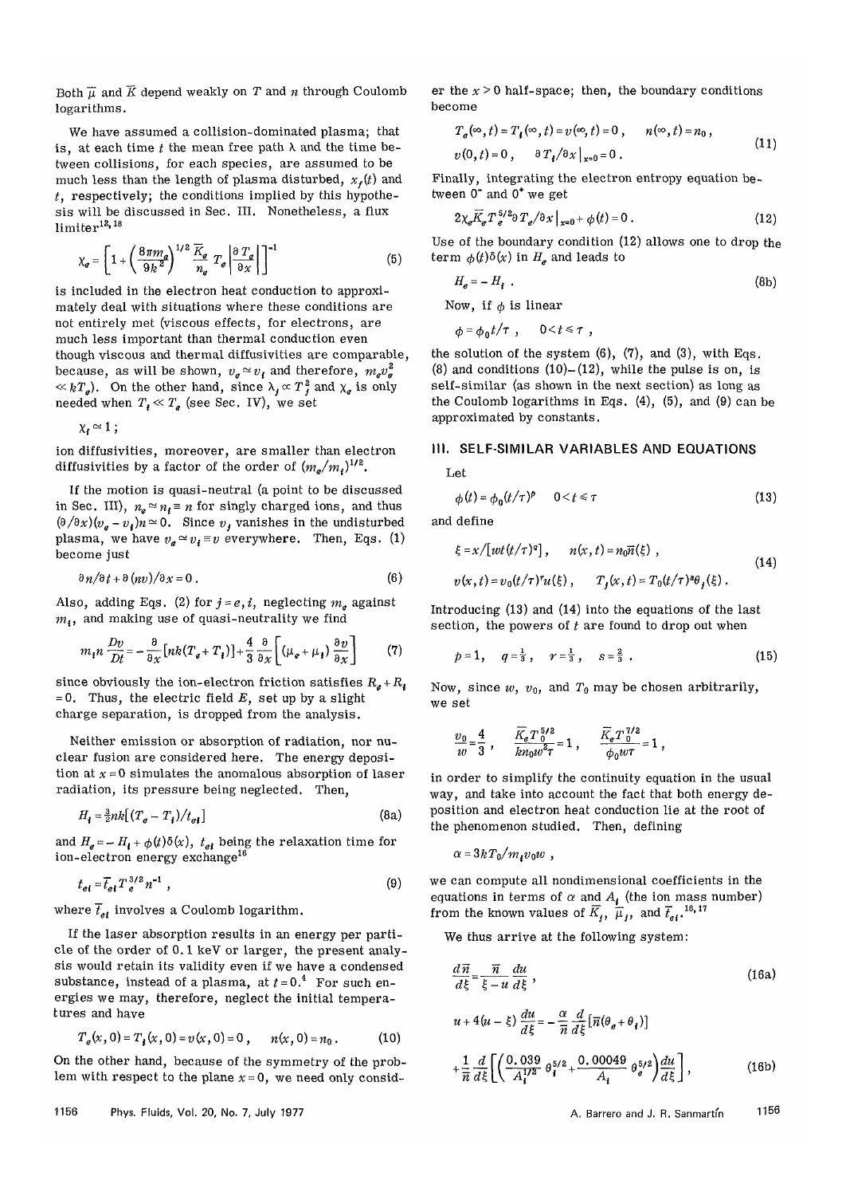Both  $\overline{\mu}$  and  $\overline{K}$  depend weakly on T and n through Coulomb logarithms.

We have assumed a collision-dominated plasma; that is, at each time  $t$  the mean free path  $\lambda$  and the time between collisions, for each species, are assumed to be much less than the length of plasma disturbed,  $x<sub>i</sub>(t)$  and *t,* respectively; the conditions implied by this hypothesis will be discussed in Sec. III. Nonetheless, a flux limiter<sup>12, 18</sup>

$$
\chi_{\sigma} = \left[1 + \left(\frac{8\pi m_{\sigma}}{9k^2}\right)^{1/2} \frac{\overline{K}_{\sigma}}{n_{\sigma}} T_{\sigma} \left|\frac{\partial T_{\sigma}}{\partial x}\right|\right]^{-1} \tag{5}
$$

is included in the electron heat conduction to approximately deal with situations where these conditions are not entirely met (viscous effects, for electrons, are much less important than thermal conduction even though viscous and thermal diffusivities are comparable, because, as will be shown,  $v_e \approx v_t$  and therefore,  $m_e v_e^2$  $\ll kT_e$ ). On the other hand, since  $\lambda_i \propto T_i^2$  and  $\chi_e$  is only needed when  $T_f \ll T_g$  (see Sec. IV), we set

 $\chi_t \simeq 1$ ;

ion diffusivities, moreover, are smaller than electron diffusivities by a factor of the order of  $(m_e/m_f)^{1/2}$ .

If the motion is quasi-neutral (a point to be discussed in Sec. III),  $n_e \approx n_i \equiv n$  for singly charged ions, and thus  $(\partial/\partial x)(v_g - v_i)n \simeq 0$ . Since  $v_f$  vanishes in the undisturbed plasma, we have  $v_a \approx v_i \equiv v$  everywhere. Then, Eqs. (1) become just

$$
\frac{\partial n}{\partial t} + \frac{\partial (nv)}{\partial x} = 0.
$$
 (6)

Also, adding Eqs. (2) for  $j = e, i$ , neglecting  $m_e$  against *m,,* and making use of quasi-neutrality we find

$$
m_{\mathbf{i}} n \frac{Dv}{Dt} = -\frac{\partial}{\partial x} \left[ nk(T_{\mathbf{g}} + T_{\mathbf{t}}) \right] + \frac{4}{3} \frac{\partial}{\partial x} \left[ \left( \mu_{\mathbf{g}} + \mu_{\mathbf{t}} \right) \frac{\partial v}{\partial x} \right] \tag{7}
$$

since obviously the ion-electron friction satisfies  $R_g + R_f$  $= 0$ . Thus, the electric field E, set up by a slight charge separation, is dropped from the analysis.

Neither emission or absorption of radiation, nor nuclear fusion are considered here. The energy deposition at  $x = 0$  simulates the anomalous absorption of laser radiation, its pressure being neglected. Then,

$$
H_{\mathbf{i}} = \frac{3}{2} n k \left[ (T_e - T_{\mathbf{i}}) / t_{ei} \right] \tag{8a}
$$

and  $H_e = -H_i + \phi(t)\delta(x)$ ,  $t_{ei}$  being the relaxation time for ion-electron energy exchange<sup>16</sup>

$$
t_{el} = \overline{t}_{el} T_e^{3/2} n^{-1} , \qquad (9)
$$

where  $\bar{t}_{et}$  involves a Coulomb logarithm.

If the laser absorption results in an energy per particle of the order of 0.1 keV or larger, the present analysis would retain its validity even if we have a condensed substance, instead of a plasma, at  $t = 0.4$  For such energies we may, therefore, neglect the initial temperatures and have

$$
T_e(x, 0) = T_i(x, 0) = v(x, 0) = 0, \qquad n(x, 0) = n_0.
$$
 (10)

On the other hand, because of the symmetry of the problem with respect to the plane  $x = 0$ , we need only consid-

er the  $x > 0$  half-space; then, the boundary conditions become

$$
T_e(\infty, t) = T_i(\infty, t) = v(\infty, t) = 0, \qquad n(\infty, t) = n_0,
$$
  

$$
v(0, t) = 0, \qquad \partial T_i / \partial x \big|_{x=0} = 0.
$$
 (11)

Finally, integrating the electron entropy equation between 0" and 0\* we get

$$
2\chi_e \overline{K}_e T_e^{5/2} \partial T_e / \partial x \big|_{x=0} + \phi(t) = 0.
$$
 (12)

Use of the boundary condition (12) allows one to drop the term  $\phi(t)\delta(x)$  in  $H_e$  and leads to

$$
H_e = -H_f \tag{8b}
$$

Now, if  $\phi$  is linear

 $\phi = \phi_0 t / \tau$ ,  $0 < t \le \tau$ ,

the solution of the system  $(6)$ ,  $(7)$ , and  $(3)$ , with Eqs. (8) and conditions  $(10)$ - $(12)$ , while the pulse is on, is self-similar (as shown in the next section) as long as the Coulomb logarithms in Eqs.  $(4)$ ,  $(5)$ , and  $(9)$  can be approximated by constants.

# III. SELF-SIMILAR VARIABLES AND EQUATIONS

Let

$$
\phi(t) = \phi_0(t/\tau)^p \qquad 0 < t \leq \tau \tag{13}
$$

and define

$$
\xi = x/[wt(t/\tau)^q], \qquad n(x, t) = n_0 \overline{n}(\xi) ,
$$
  
\n
$$
v(x, t) = v_0(t/\tau)^r u(\xi), \qquad T_j(x, t) = T_0(t/\tau)^s \theta_j(\xi) .
$$
\n(14)

Introducing (13) and (14) into the equations of the last section, the powers of  $t$  are found to drop out when

$$
p=1
$$
,  $q=\frac{1}{3}$ ,  $r=\frac{1}{3}$ ,  $s=\frac{2}{3}$ . (15)

Now, since  $w$ ,  $v_0$ , and  $T_0$  may be chosen arbitrarily, we set

$$
\frac{v_0}{w} = \frac{4}{3} , \qquad \frac{\overline{K}_e T_0^{5/2}}{kn_0 w^2 \tau} = 1 , \qquad \frac{\overline{K}_e T_0^{7/2}}{\phi_0 w \tau} = 1 ,
$$

in order to simplify the continuity equation in the usual way, and take into account the fact that both energy deposition and electron heat conduction lie at the root of the phenomenon studied. Then, defining

$$
\alpha = 3kT_0/m_{\tilde{i}}v_0w,
$$

we can compute all nondimensional coefficients in the equations in terms of  $\alpha$  and  $A$ <sup>*i*</sup> (the ion mass number) from the known values of  $\overline{K}_i$ ,  $\overline{\mu}_i$ , and  $\overline{t}_{e^i}$ , <sup>16, 17</sup>

We thus arrive at the following system:

$$
\frac{d\,\overline{n}}{d\xi} = \frac{\overline{n}}{\xi - u} \frac{du}{d\xi} \,,\tag{16a}
$$

$$
u + 4(u - \xi) \frac{du}{d\xi} = -\frac{\alpha}{\overline{n}} \frac{d}{d\xi} \left[ \overline{n} (\theta_{\theta} + \theta_{\theta}) \right]
$$
  
+ 
$$
\frac{1}{\overline{n}} \frac{d}{d\xi} \left[ \left( \frac{0.039}{A_{\theta}^{1/2}} \theta_{\theta}^{5/2} + \frac{0.00049}{A_{\theta}} \theta_{\theta}^{5/2} \right) \frac{du}{d\xi} \right],
$$
(16b)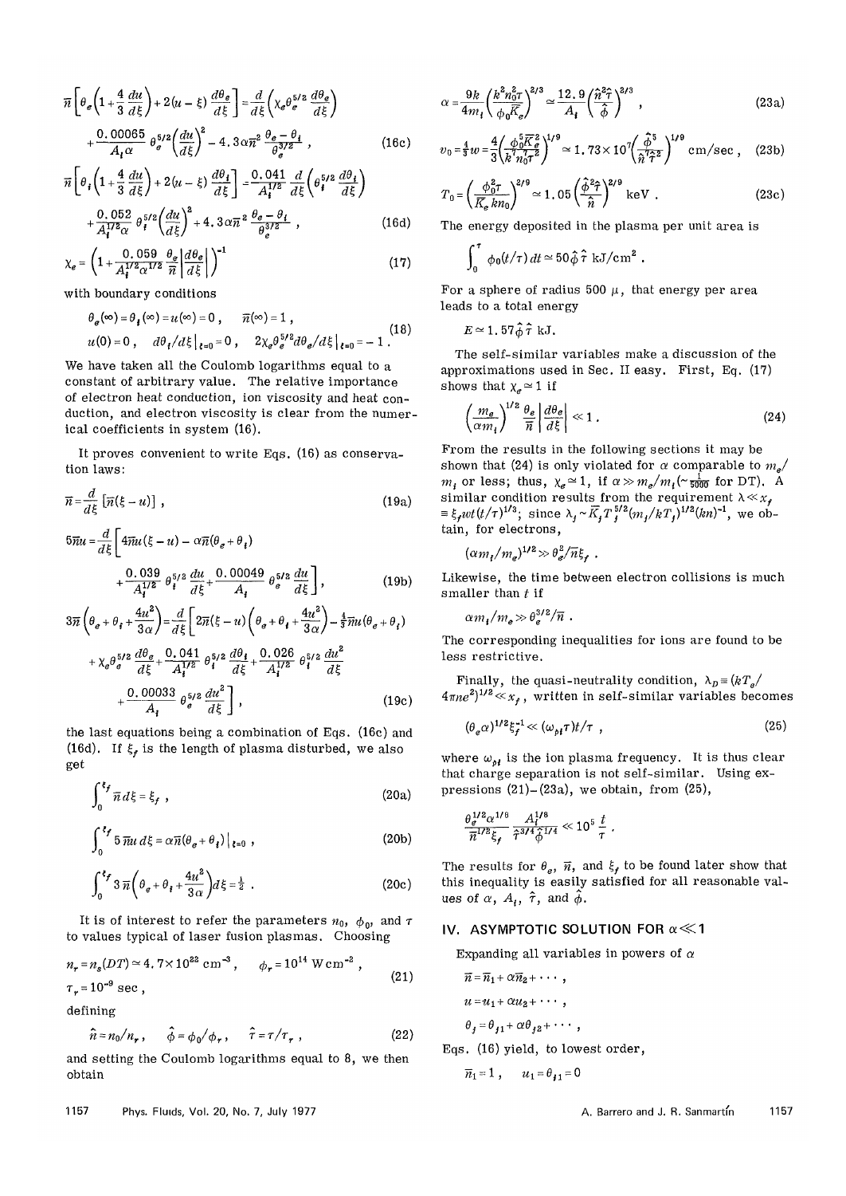$$
\overline{n}\left[\theta_e\left(1+\frac{4}{3}\frac{du}{d\xi}\right)+2(u-\xi)\frac{d\theta_e}{d\xi}\right]=\frac{d}{d\xi}\left(\chi_e\theta_e^{5/2}\frac{d\theta_e}{d\xi}\right)
$$

$$
+\frac{0.00065}{A_t\alpha}\theta_e^{5/2}\left(\frac{du}{d\xi}\right)^2-4.3\alpha\overline{n}^2\frac{\theta_e-\theta_t}{\theta_e^{3/2}},\qquad(16c)
$$

$$
\overline{n}\left[\theta_i\left(1+\frac{4}{3}\frac{du}{d\xi}\right)+2(u-\xi)\frac{d\theta_i}{d\xi}\right] = \frac{0.041}{A_i^{1/2}}\frac{d}{d\xi}\left(\theta_i^{5/2}\frac{d\theta_i}{d\xi}\right) + \frac{0.052}{A_i^{1/2}\alpha}\theta_i^{5/2}\left(\frac{du}{d\xi}\right)^2 + 4.3\alpha\overline{n}^2\frac{\theta_\theta-\theta_i}{\theta_i^{3/2}},
$$
\n(16d)

$$
\chi_e = \left(1 + \frac{0.059}{A_i^{1/2} \alpha^{1/2}} \frac{\theta_e}{\pi} \left| \frac{d\theta_e}{d\xi} \right| \right)^{-1} \tag{17}
$$

with boundary conditions

$$
\theta_{\theta}(\infty) = \theta_{\ell}(\infty) = u(\infty) = 0, \quad \overline{n}(\infty) = 1,
$$
  
 
$$
u(0) = 0, \quad d\theta_{\ell}/d\xi|_{\xi=0} = 0, \quad 2\chi_{\theta} \theta_{\theta}^{5/2} d\theta_{\theta}/d\xi|_{\xi=0} = -1.
$$
 (18)

We have taken all the Coulomb logarithms equal to a constant of arbitrary value. The relative importance of electron heat conduction, ion viscosity and heat conduction, and electron viscosity is clear from the numerical coefficients in system (16).

It proves convenient to write Eqs. (16) as conservation laws:

$$
\overline{n} = \frac{d}{d\xi} \left[ \overline{n}(\xi - u) \right],
$$
\n
$$
5\overline{n}u = \frac{d}{d\xi} \left[ 4\overline{n}u(\xi - u) - \alpha \overline{n}(\theta_e + \theta_i) + \frac{0.039}{A_i^{1/2}} \theta_i^{5/2} \frac{du}{d\xi} + \frac{0.00049}{A_i} \theta_e^{5/2} \frac{du}{d\xi} \right],
$$
\n(19b)

$$
3\overline{n}\left(\theta_{e}+\theta_{f}+\frac{4u^{2}}{3\alpha}\right)=\frac{d}{d\xi}\left[2\overline{n}(\xi-u)\left(\theta_{e}+\theta_{f}+\frac{4u^{2}}{3\alpha}\right)-\frac{4}{3}\overline{n}u(\theta_{e}+\theta_{f})\right] +\chi_{e}\theta_{e}^{5/2}\frac{d\theta_{e}}{d\xi}+\frac{0.041}{A_{i}^{1/2}}\theta_{i}^{5/2}\frac{d\theta_{f}}{d\xi}+\frac{0.026}{A_{i}^{1/2}}\theta_{i}^{5/2}\frac{du^{2}}{d\xi} +\frac{0.00033}{A_{i}}\theta_{e}^{5/2}\frac{du^{2}}{d\xi}\right],
$$
\n(19c)

the last equations being a combination of Eqs. (16c) and (16d). If  $\xi_f$  is the length of plasma disturbed, we also get

$$
\int_0^{\xi_f} \overline{n} \, d\xi = \xi_f \tag{20a}
$$

$$
\int_0^{\ell_f} 5 \,\overline{m} \, d\xi = \alpha \overline{n} (\theta_e + \theta_i) \Big|_{\ell=0} , \qquad (20b)
$$

$$
\int_0^{\xi_f} 3 \overline{n} \left( \theta_e + \theta_i + \frac{4u^2}{3\alpha} \right) d\xi = \frac{1}{2} .
$$
 (20c)

It is of interest to refer the parameters  $n_0$ ,  $\phi_0$ , and  $\tau$ to values typical of laser fusion plasmas. Choosing

$$
n_r = n_s(DT) \approx 4.7 \times 10^{22} \text{ cm}^{-3}, \qquad \phi_r = 10^{14} \text{ W cm}^{-2},
$$
  

$$
\tau_r = 10^{-9} \text{ sec},
$$
 (21)

defining

$$
\hat{n} = n_0/n_r, \qquad \hat{\phi} = \phi_0/\phi_r, \qquad \hat{\tau} = \tau/\tau_r, \qquad (22)
$$

and setting the Coulomb logarithms equal to 8, we then obtain

$$
\alpha = \frac{9k}{4m_t} \left( \frac{k^2 n_0^2 \tau}{\phi_0 \overline{K}_e} \right)^{2/3} \simeq \frac{12.9}{A_t} \left( \frac{\hat{n}^2 \hat{\tau}}{\hat{\phi}} \right)^{2/3},
$$
\n(23a)\n
$$
\frac{4}{\phi_0 \overline{K}_e^2} \left( \frac{k^2 \hat{\tau}}{\hat{\phi}} \right)^{1/9},
$$
\n
$$
\frac{4}{\phi_0 \overline{K}_e^2} \left( \frac{k^2 \hat{\tau}}{\hat{\phi}} \right)^{1/9},
$$
\n
$$
\frac{4}{\phi_0 \overline{K}_e^2} \left( \frac{k^2 \hat{\tau}}{\hat{\phi}} \right)^{1/9},
$$
\n(23b)\n
$$
\frac{4}{\phi_0 \overline{K}_e^2} \left( \frac{k^2 \hat{\tau}}{\hat{\phi}} \right)^{1/9},
$$

$$
v_0 = \frac{4}{3} w = \frac{4}{3} \left( \frac{\phi_0^5 \overline{K}^2}{k^7 n_0^7 \tau^2} \right)^{1/9} \simeq 1.73 \times 10^7 \left( \frac{\hat{\phi}^5}{\hat{n}^7 \hat{\tau}^2} \right)^{1/9} \text{ cm/sec }, \quad (23b)
$$

$$
T_0 = \left(\frac{\phi_0^2 \tau}{\overline{K}_e \, kn_0}\right)^{2/9} \simeq 1.05 \left(\frac{\hat{\phi}^2 \hat{\tau}}{\hat{n}}\right)^{2/9} \text{ keV} \tag{23c}
$$

The energy deposited in the plasma per unit area is

$$
\int_0^{\tau} \phi_0(t/\tau) dt \simeq 50 \hat{\phi} \hat{\tau} \text{ kJ/cm}^2.
$$

For a sphere of radius 500  $\mu$ , that energy per area leads to a total energy

$$
E \simeq 1.57 \hat{\phi} \hat{\tau} \text{ kJ}.
$$

The self-similar variables make a discussion of the approximations used in Sec. II easy. First, Eq. (17) shows that  $\chi_e \approx 1$  if

$$
\left(\frac{m_e}{\alpha m_i}\right)^{1/2} \frac{\theta_e}{\overline{n}} \left| \frac{d\theta_e}{d\xi} \right| \ll 1 \ . \tag{24}
$$

From the results in the following sections it may be shown that (24) is only violated for  $\alpha$  comparable to  $m_e/$  $m_i$  or less; thus,  $\chi_e \approx 1$ , if  $\alpha \gg m_e/m_i$  (~ $\frac{1}{5000}$  for DT). A similar condition results from the requirement  $\lambda \ll x_f$  $\equiv \xi_f w t (t/\tau)^{1/3}$ ; since  $\lambda_f \sim \overline{K}_f T_f^{5/2} (m_f/kT_f)^{1/2} (kn)^{-1}$ , we obtain, for electrons,

$$
(\alpha m_t/m_e)^{1/2} \gg \theta_e^2/\overline{n}\xi_t.
$$

Likewise, the time between electron collisions is much smaller than *t* if

$$
\alpha m_i/m_e \gg \theta_e^{3/2}/\overline{n} \ .
$$

The corresponding inequalities for ions are found to be less restrictive.

Finally, the quasi-neutrality condition,  $\lambda_D = (kT_e / )$  $4\pi n e^{2}$ <sup>1/2</sup> $\ll$  *x*<sub>f</sub>, written in self-similar variables becomes

$$
(\theta_e \alpha)^{1/2} \xi_f^{-1} \ll (\omega_{\rho i} \tau) t/\tau , \qquad (25)
$$

where  $\omega_{\rho i}$  is the ion plasma frequency. It is thus clear that charge separation is not self-similar. Using expressions  $(21)$ - $(23a)$ , we obtain, from  $(25)$ ,

$$
\frac{\theta_e^{1/2} \alpha^{1/8}}{\overline{n}^{1/2} \xi_f} \frac{A_t^{1/8}}{\hat{\tau}^{3/4} \hat{\phi}^{1/4}} \ll 10^5 \frac{t}{\tau} .
$$

The results for  $\theta_e$ ,  $\vec{n}$ , and  $\xi_f$  to be found later show that this inequality is easily satisfied for all reasonable values of  $\alpha$ ,  $A_i$ ,  $\hat{\tau}$ , and  $\hat{\phi}$ .

## IV. ASYMPTOTIC SOLUTION FOR  $\alpha \ll 1$

Expanding all variables in powers of  $\alpha$ 

$$
\overline{n} = \overline{n}_1 + \alpha \overline{n}_2 + \cdots,
$$
  
\n
$$
u = u_1 + \alpha u_2 + \cdots,
$$
  
\n
$$
\theta_j = \theta_{j1} + \alpha \theta_{j2} + \cdots,
$$

Eqs. (16) yield, to lowest order,

$$
\overline{n}_1 = 1 , \qquad u_1 = \theta_{j1} = 0
$$

1157 Phys. Fluids, Vol. 20, No. 7, July 1977 A. Barrero and J. R. Sanmartfn 1157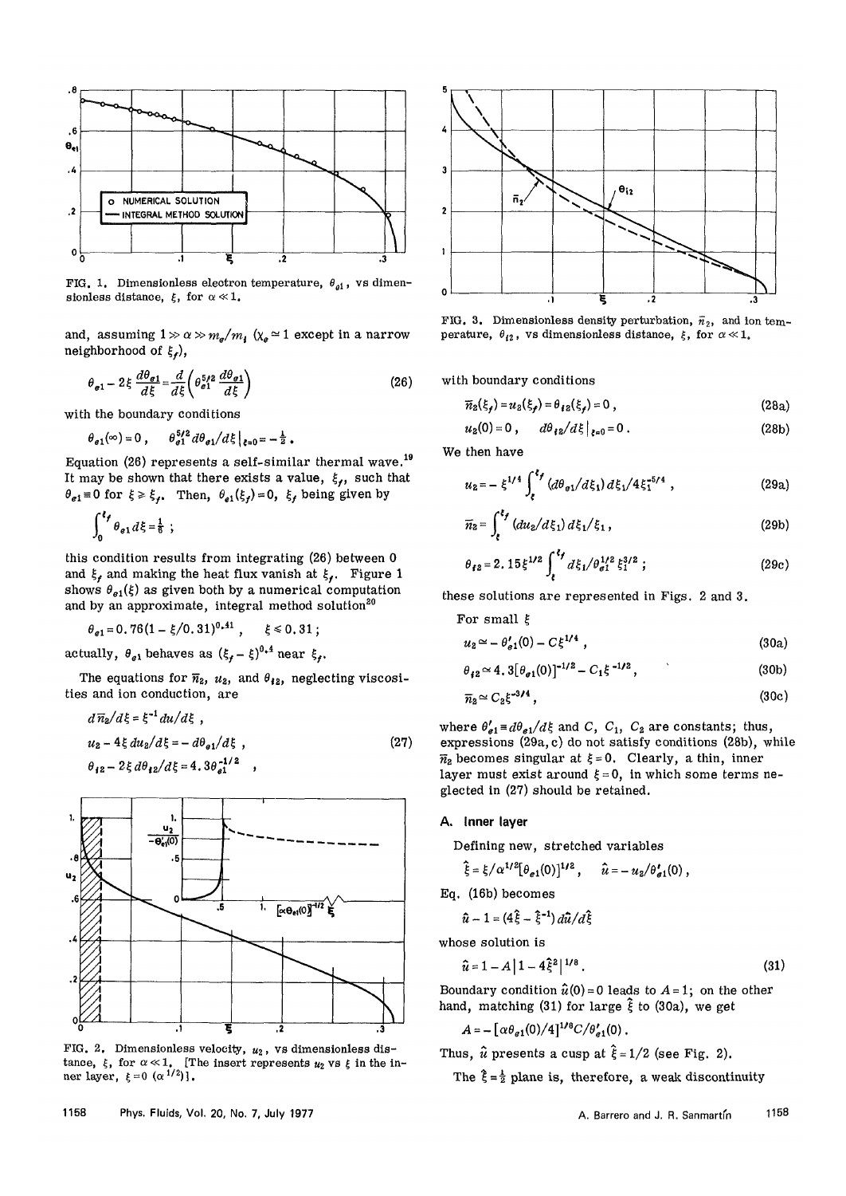

FIG. 1. Dimensionless electron temperature,  $\theta_{el}$ , vs dimensionless distance,  $\xi$ , for  $\alpha \ll 1$ .

and, assuming  $1 \gg \alpha \gg m_{\rm e} / m_{\rm f}$  (x $_{\rm e}$   $\simeq 1$  except in a narrow neighborhood of *%f),* 

$$
\theta_{e1} - 2\xi \frac{d\theta_{e1}}{d\xi} = \frac{d}{d\xi} \left( \theta_{e1}^{5/2} \frac{d\theta_{e1}}{d\xi} \right)
$$
 (26)

with the boundary conditions

$$
\theta_{e1}(\infty)=0\;,\qquad \theta_{e1}^{5/2}\,d\theta_{e1}/d\xi\big|_{\xi=0}=-\tfrac{1}{2}\;.
$$

Equation (26) represents a self-similar thermal wave.<sup>19</sup> It may be shown that there exists a value,  $\xi_f$ , such that  $\theta_{e1} \equiv 0$  for  $\xi \ge \xi_{f}$ , Then,  $\theta_{e1}(\xi_{f}) = 0$ ,  $\xi_{f}$  being given by

$$
\int_0^{\xi_f} \theta_{e1} d\xi = \frac{1}{6} ;
$$

this condition results from integrating (26) between 0 and  $\xi_f$  and making the heat flux vanish at  $\xi_f$ . Figure 1 shows  $\theta_{e1}(\xi)$  as given both by a numerical computation and by an approximate, integral method solution<sup>20</sup>

$$
\theta_{e1}=0.76(1-\xi/0.31)^{0.41}, \quad \xi\leq 0.31;
$$

actually,  $\theta_{e1}$  behaves as  $(\xi_f - \xi)^{0.4}$  near  $\xi_f$ .

The equations for  $\overline{n}_2$ ,  $u_2$ , and  $\theta_{i2}$ , neglecting viscosities and ion conduction, are

$$
d\overline{n}_2/d\xi = \xi^{-1} du/d\xi ,
$$
  
\n
$$
u_2 - 4\xi du_2/d\xi = -d\theta_{e1}/d\xi ,
$$
  
\n
$$
\theta_{12} - 2\xi d\theta_{12}/d\xi = 4.3\theta_{e1}^{-1/2} ,
$$
\n(27)



FIG. 2. Dimensionless velocity,  $u_2$ , vs dimensionless distance,  $\xi$ , for  $\alpha \ll 1$ . [The insert represents  $u_2$  vs  $\xi$  in the inner layer,  $\xi = 0 \ (\alpha^{1/2})$ .



FIG. 3. Dimensionless density perturbation,  $\bar{n}_2$ , and ion temperature,  $\theta_{i2}$ , vs dimensionless distance,  $\xi$ , for  $\alpha \ll 1$ .

with boundary conditions

$$
\overline{n}_2(\xi_f) = u_2(\xi_f) = \theta_{12}(\xi_f) = 0 , \qquad (28a)
$$

$$
u_2(0) = 0, \qquad d\theta_{\ell 2}/d\xi\big|_{\ell=0} = 0.
$$
 (28b)

We then have

$$
u_2 = -\xi^{1/4} \int_{\xi}^{\xi_f} \left( d\theta_{\vartheta 1} / d\xi_1 \right) d\xi_1 / 4 \xi_1^{5/4} , \qquad (29a)
$$

$$
\overline{n}_2 = \int_{\xi}^{\xi_f} \left( du_2 / d\xi_1 \right) d\xi_1 / \xi_1 , \qquad (29b)
$$

$$
\theta_{f2} = 2.15 \xi^{1/2} \int_{\epsilon}^{\epsilon_f} d\xi_1 / \theta_{\sigma 1}^{1/2} \xi_1^{3/2} ; \qquad (29c)
$$

these solutions are represented in Figs. 2 and 3.

For small 
$$
\xi
$$
  
\n $u_2 \approx -\theta'_{g1}(0) - C\xi^{1/4}$ , (30a)

$$
...
$$

$$
\theta_{i2} \simeq 4.3 [\theta_{\vartheta 1}(0)]^{-1/2} - C_1 \xi^{-1/2}, \qquad (30b)
$$

$$
\overline{n}_2 \simeq C_2 \xi^{-3/4},\tag{30c}
$$

where  $\theta'_{e1} = d\theta_{e1} / d\xi$  and C,  $C_1$ ,  $C_2$  are constants; thus, expressions (29a, c) do not satisfy conditions (28b), while  $\overline{n}_2$  becomes singular at  $\xi = 0$ . Clearly, a thin, inner layer must exist around  $\xi = 0$ , in which some terms neglected in (27) should be retained.

# A. Inner layer

Defining new, stretched variables

$$
\hat{\xi} = \xi / \alpha^{1/2} [\theta_{e1}(0)]^{1/2}, \qquad \hat{u} = -u_2 / \theta_{e1}^{\prime}(0),
$$

Eq. (16b) becomes

$$
\hat{u} - 1 = (4\hat{\xi} - \hat{\xi}^{-1}) d\hat{u}/d\hat{\xi}
$$

whose solution is

$$
\hat{u} = 1 - A \left| 1 - 4 \hat{\xi}^2 \right|^{1/8} . \tag{31}
$$

Boundary condition  $\hat{u}(0) = 0$  leads to  $A = 1$ ; on the other hand, matching (31) for large  $\hat{\xi}$  to (30a), we get

$$
A = -\left[\alpha \theta_{e1}(0)/4\right]^{1/8} C/\theta_{e1}'(0) .
$$

Thus,  $\hat{u}$  presents a cusp at  $\hat{\xi} = 1/2$  (see Fig. 2).

The  $\hat{\xi} = \frac{1}{2}$  plane is, therefore, a weak discontinuity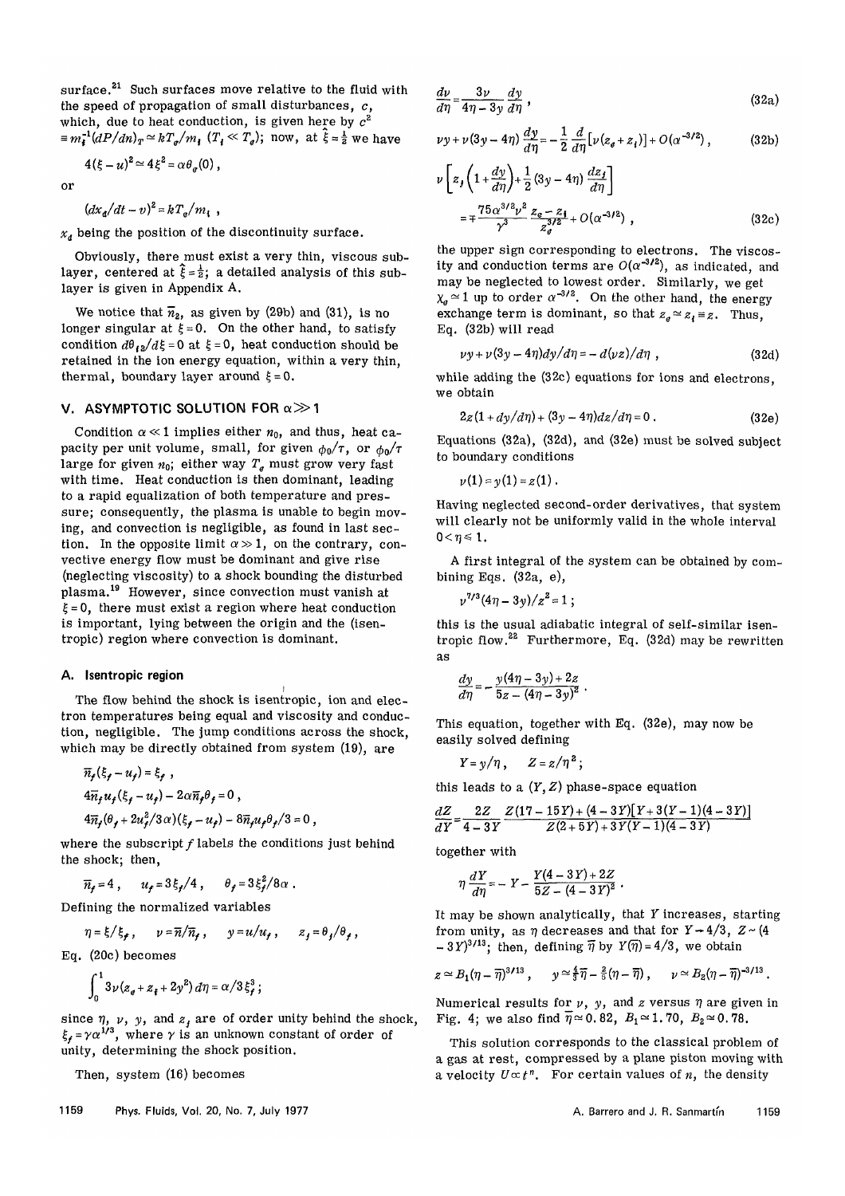surface.<sup>21</sup> Such surfaces move relative to the fluid with the speed of propagation of small disturbances,  $c$ , which, due to heat conduction, is given here by  $c^2$  $\equiv m_i^{-1}(dP/dn)_T \simeq kT_e/m_i$  ( $T_i \ll T_e$ ); now, at  $\hat{\xi} = \frac{1}{2}$  we have

$$
4(\xi - u)^2 \simeq 4\xi^2 = \alpha \theta_e(0)
$$

or

 $\left(dx_{a}/dt-v\right)^{2} = kT_{a}/m_{b}$ 

*xt* being the position of the discontinuity surface.

Obviously, there must exist a very thin, viscous sublayer, centered at  $\hat{\xi} = \frac{1}{2}$ ; a detailed analysis of this sublayer is given in Appendix A.

We notice that  $\overline{n}_2$ , as given by (29b) and (31), is no longer singular at  $\xi = 0$ . On the other hand, to satisfy condition  $d\theta_{\ell}z/d\xi = 0$  at  $\xi = 0$ , heat conduction should be retained in the ion energy equation, within a very thin, thermal, boundary layer around  $\xi = 0$ .

## V. ASYMPTOTIC SOLUTION FOR  $\alpha \gg 1$

Condition  $\alpha \ll 1$  implies either  $n_0$ , and thus, heat capacity per unit volume, small, for given  $\phi_0/\tau$ , or  $\phi_0/\tau$ large for given  $n_0$ ; either way  $T_e$  must grow very fast with time. Heat conduction is then dominant, leading to a rapid equalization of both temperature and pressure; consequently, the plasma is unable to begin moving, and convection is negligible, as found in last section. In the opposite limit  $\alpha \gg 1$ , on the contrary, convective energy flow must be dominant and give rise (neglecting viscosity) to a shock bounding the disturbed plasma.<sup>19</sup> However, since convection must vanish at  $\xi = 0$ , there must exist a region where heat conduction is important, lying between the origin and the (isentropic) region where convection is dominant.

#### A. Isentropic region

The flow behind the shock is isentropic, ion and electron temperatures being equal and viscosity and conduction, negligible. The jump conditions across the shock, which may be directly obtained from system (19), are

$$
\overline{n}_f(\xi_f - u_f) = \xi_f,
$$
  
\n
$$
4\overline{n}_f u_f(\xi_f - u_f) - 2\alpha \overline{n}_f \theta_f = 0,
$$
  
\n
$$
4\overline{n}_f(\theta_f + 2u_f^2/3\alpha)(\xi_f - u_f) - 8\overline{n}_f u_f \theta_f/3 = 0,
$$

where the subscript  $f$  labels the conditions just behind the shock; then,

$$
\overline{n}_f=4\ ,\qquad u_f=3\,\xi_f/4\ ,\qquad \theta_f=3\,\xi_f^2/8\,\alpha\ .
$$

Defining the normalized variables

$$
\eta = \xi/\xi_f, \qquad \nu = \overline{n}/\overline{n}_f, \qquad \gamma = u/u_f, \qquad z_f = \theta_f/\theta_f,
$$

Eq. (20c) becomes

$$
\int_0^1 3\nu (z_{\theta} + z_{\dagger} + 2y^2) d\eta = \alpha / 3 \xi_f^3 ;
$$

since  $\eta$ ,  $\nu$ ,  $y$ , and  $z<sub>f</sub>$  are of order unity behind the shock,  $\xi_f = \gamma \alpha^{1/3}$ , where  $\gamma$  is an unknown constant of order of unity, determining the shock position.

Then, system (16) becomes

$$
\frac{d\nu}{d\eta} = \frac{3\nu}{4\eta - 3y} \frac{dy}{d\eta} \,, \tag{32a}
$$

$$
\nu y + \nu (3y - 4\eta) \frac{dy}{d\eta} = -\frac{1}{2} \frac{d}{d\eta} [\nu (z_{e} + z_{i})] + O(\alpha^{-3/2}), \qquad (32b)
$$

$$
\nu \left[ z_j \left( 1 + \frac{dy}{d\eta} \right) + \frac{1}{2} \left( 3y - 4\eta \right) \frac{dz_j}{d\eta} \right]
$$
  
= 
$$
\mp \frac{75 \alpha^{3/2} \nu^2}{\gamma^3} \frac{z_e - z_1}{z_d^{3/2}} + O(\alpha^{-3/2}),
$$
 (32c)

the upper sign corresponding to electrons. The viscosity and conduction terms are  $O(\alpha^{-3/2})$ , as indicated, and may be neglected to lowest order. Similarly, we get  $\chi_q \simeq 1$  up to order  $\alpha^{-3/2}$ . On the other hand, the energy exchange term is dominant, so that  $z_e \approx z_i \equiv z$ . Thus, Eq. (32b) will read

$$
\nu y + \nu (3y - 4\eta) dy / d\eta = -d(\nu z)/d\eta , \qquad (32d)
$$

while adding the (32c) equations for ions and electrons, we obtain

$$
2z(1+dy/d\eta)+(3y-4\eta)dz/d\eta=0.
$$
 (32e)

Equations (32a), (32d), and (32e) must be solved subject to boundary conditions

$$
y(1)=y(1)=z(1).
$$

Having neglected second-order derivatives, that system will clearly not be uniformly valid in the whole interval  $0 < \eta \leq 1$ .

A first integral of the system can be obtained by combining Eqs. (32a, e),

$$
\nu^{7/3}(4\eta-3\gamma)/z^2=1\ ;
$$

this is the usual adiabatic integral of self-similar isentropic flow.<sup>28</sup> Furthermore, Eq. (32d) may be rewritten as

$$
\frac{dy}{d\eta} = -\frac{y(4\eta - 3y) + 2z}{5z - (4\eta - 3y)^2}.
$$

This equation, together with Eq. (32e), may now be easily solved defining

$$
Y=y/\eta\,,\qquad Z=z/\eta^2\,;
$$

this leads to a  $(Y, Z)$  phase-space equation

$$
\frac{dZ}{dY} = \frac{2Z}{4-3Y} \frac{Z(17-15Y)+(4-3Y)[Y+3(Y-1)(4-3Y)]}{Z(2+5Y)+3Y(Y-1)(4-3Y)}
$$

together with

$$
\eta \frac{dY}{d\eta} = -Y - \frac{Y(4-3Y) + 2Z}{5Z - (4-3Y)^2}.
$$

It may be shown analytically, that *Y* increases, starting from unity, as  $\eta$  decreases and that for  $Y \rightarrow 4/3$ ,  $Z \sim (4$  $-3Y$ <sup>3/13</sup>; then, defining  $\overline{\eta}$  by  $Y(\overline{\eta}) = 4/3$ , we obtain

$$
z \simeq B_1(\eta - \overline{\eta})^{3/13}
$$
,  $y \simeq \frac{4}{3}\overline{\eta} - \frac{2}{5}(\eta - \overline{\eta})$ ,  $\nu \simeq B_2(\eta - \overline{\eta})^{-3/13}$ .

Numerical results for  $\nu$ ,  $y$ , and *z* versus  $\eta$  are given in Fig. 4; we also find  $\overline{\eta} \approx 0.82$ ,  $B_1 \approx 1.70$ ,  $B_2 \approx 0.78$ .

This solution corresponds to the classical problem of a gas at rest, compressed by a plane piston moving with a velocity  $U \propto t^n$ . For certain values of *n*, the density

1159 Phys. Fluids, Vol. 20, No. 7, July 1977 **A. Barrero and J. R. Sanmartin** 1159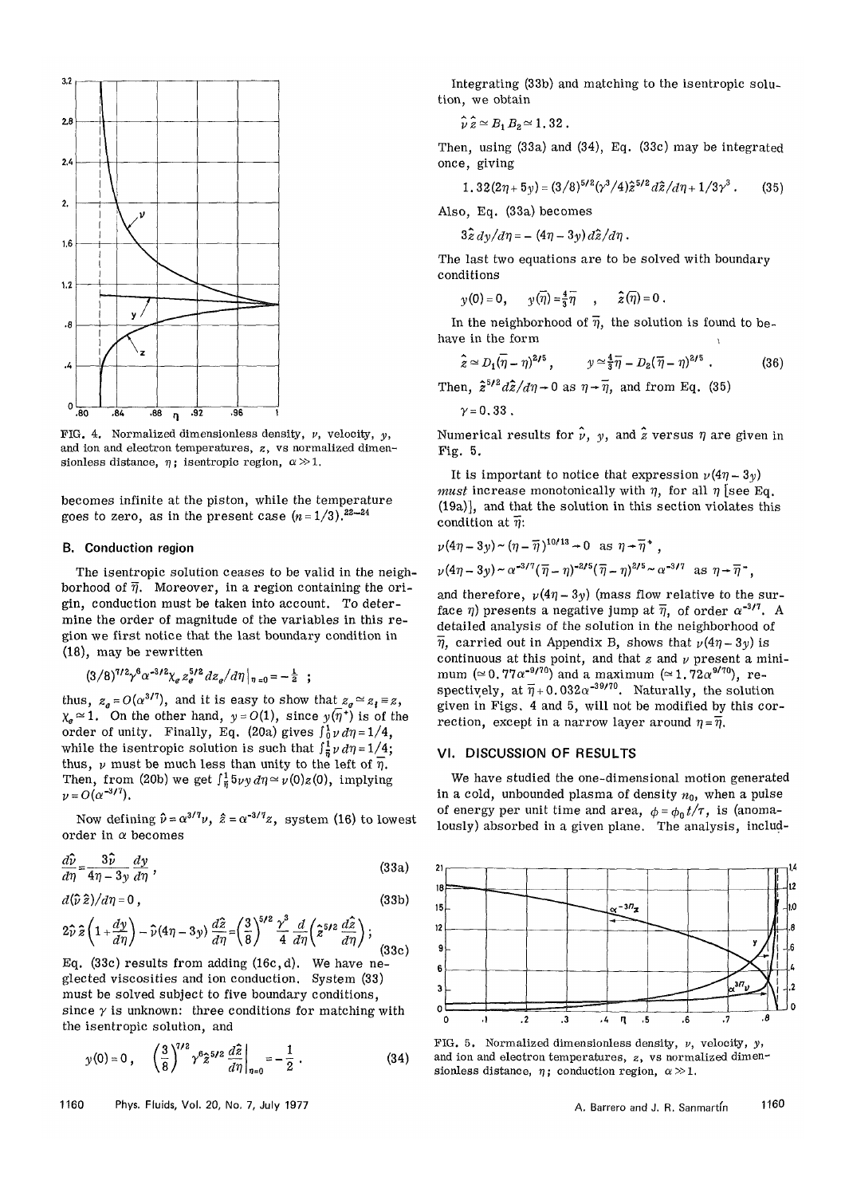

FIG. 4. Normalized dimensionless density, *v,* velocity, *y,*  and ion and electron temperatures, *z,* vs normalized dimensionless distance,  $\eta$ ; is entropic region,  $\alpha \gg 1$ .

becomes infinite at the piston, while the temperature goes to zero, as in the present case  $(n=1/3).^{22-24}$ 

#### B. Conduction region

The isentropic solution ceases to be valid in the neighborhood of  $\overline{\eta}$ . Moreover, in a region containing the origin, conduction must be taken into account. To determine the order of magnitude of the variables in this region we first notice that the last boundary condition in (18), may be rewritten

$$
(3/8)^{7/2} \gamma^6 \alpha^{-3/2} \chi_e z_e^{5/2} dz_e/d\eta|_{\eta=0} = -\frac{1}{2} ;
$$

thus,  $z_e = O(\alpha^{3/7})$ , and it is easy to show that  $z_e \approx z_i \equiv z$ ,  $\chi_{\rm g} \simeq 1$ . On the other hand,  $y = O(1)$ , since  $y(\overline{\eta}^*)$  is of the order of unity. Finally, Eq. (20a) gives  $\int_0^1 v \, d\eta = 1/4$ , while the isentropic solution is such that  $\int_{\frac{1}{2}}^{1} \nu d\eta = 1/4$ ; thus,  $\nu$  must be much less than unity to the left of  $\overline{\eta}$ . Then, from (20b) we get  $\int_{\pi}^{1} 5\nu y \, d\eta \simeq \nu(0)z(0)$ , implying  $\nu = O(\alpha^{-3/7})$ .

Now defining  $\hat{\nu} = \alpha^{3/7} \nu$ ,  $\hat{z} = \alpha^{-3/7} z$ , system (16) to lowest order in *a* becomes

$$
\frac{d\hat{\nu}}{d\eta} = \frac{3\hat{\nu}}{4\eta - 3y} \frac{dy}{d\eta} \,, \tag{33a}
$$

$$
d(\hat{\nu}\,\hat{z})/d\eta=0\,,\tag{33b}
$$

$$
2\hat{v}\hat{z}\left(1+\frac{dy}{d\eta}\right)-\hat{v}(4\eta-3y)\frac{d\hat{z}}{d\eta}=\left(\frac{3}{8}\right)^{5/2}\frac{\gamma^3}{4}\frac{d}{d\eta}\left(\hat{z}^{5/2}\frac{d\hat{z}}{d\eta}\right);
$$
\nEq. (33c) results from adding (16c, d). We have ne-

 $E_q$ . (50c) results from adding (16c, d). We have neglected viscosities and ion conduction. System (30) must be solved subject to five boundary conditions, since *y* is unknown: three conditions for matching with the isentropic solution, and

$$
y(0) = 0, \quad \left(\frac{3}{8}\right)^{7/2} \gamma^6 \hat{z}^{5/2} \frac{d\hat{z}}{d\eta}\bigg|_{\eta=0} = -\frac{1}{2} \ . \tag{34}
$$

1160 Phys. Fluids, Vol. 20, No. 7, July 1977 **A. B. A. Barrero and J. R. Sanmartin** 

Integrating (33b) and matching to the isentropic solution, we obtain

$$
\hat{\nu}\hat{z} \simeq B_1 B_2 \simeq 1.32 \ .
$$

Then, using (33a) and (34), Eq. (33c) may be integrated once, giving

$$
1.32(2\eta+5y) = (3/8)^{5/2}(\gamma^3/4)\hat{z}^{5/2}d\hat{z}/d\eta+1/3\gamma^3.
$$
 (35)

Also, Eq. (33a) becomes

$$
3\hat{z} dy/d\eta = -(4\eta - 3y) d\hat{z}/d\eta.
$$

The last two equations are to be solved with boundary conditions

 $\gamma(0) = 0$ ,  $\gamma(\overline{\eta}) = \frac{4}{3}\overline{\eta}$ ,  $\hat{z}(\overline{\eta}) = 0$ .

In the neighborhood of  $\overline{\eta}$ , the solution is found to behave in the form *\* 

$$
\hat{z} \simeq D_1(\overline{\eta}-\eta)^{2/5}, \qquad y \simeq \frac{4}{3}\overline{\eta} - D_2(\overline{\eta}-\eta)^{2/5} . \tag{36}
$$

Then,  $\hat{z}^{5/2} d\hat{z}/d\eta \rightarrow 0$  as  $\eta \rightarrow \overline{\eta}$ , and from Eq. (35)

$$
\gamma = 0.33
$$

Numerical results for  $\hat{\nu}$ ,  $\gamma$ , and  $\hat{z}$  versus  $\eta$  are given in Fig. 5.

It is important to notice that expression  $\nu(4\eta - 3\nu)$ *must* increase monotonically with  $\eta$ , for all  $\eta$  [see Eq. (19a)], and that the solution in this section violates this condition at  $\overline{\eta}$ :

$$
\nu(4\eta - 3y) \sim (\eta - \overline{\eta})^{10/13} \to 0 \text{ as } \eta \to \overline{\eta}^*,
$$
  

$$
\nu(4\eta - 3y) \sim \alpha^{-3/7}(\overline{\eta} - \eta)^{-2/5}(\overline{\eta} - \eta)^{2/5} \sim \alpha^{-3/7} \text{ as } \eta \to \overline{\eta}^*,
$$

and therefore,  $\nu(4\eta - 3\gamma)$  (mass flow relative to the surface  $\eta$ ) presents a negative jump at  $\overline{\eta}$ , of order  $\alpha^{-3/7}$ . A detailed analysis of the solution in the neighborhood of  $\overline{\eta}$ , carried out in Appendix B, shows that  $\nu(4\eta-3\gamma)$  is continuous at this point, and that  $z$  and  $\nu$  present a minimum ( $\simeq 0.77a^{-9/70}$ ) and a maximum ( $\simeq 1.72a^{9/70}$ ), respectively, at  $\overline{\eta}$  + 0.032 $\alpha$ <sup>-39/70</sup>. Naturally, the solution given in Figs. 4 and 5, will not be modified by this correction, except in a narrow layer around  $\eta = \overline{\eta}$ .

# VI. DISCUSSION OF RESULTS

We have studied the one-dimensional motion generated in a cold, unbounded plasma of density  $n_0$ , when a pulse of energy per unit time and area,  $\phi = \phi_0 t / \tau$ , is (anomalously) absorbed in a given plane. The analysis, includ-



FIG. 5. Normalized dimensionless density, *v,* velocity, *y,*  and ion and electron temperatures,  $z$ , vs normalized dimensionless distance,  $\eta$ ; conduction region,  $\alpha \gg 1$ .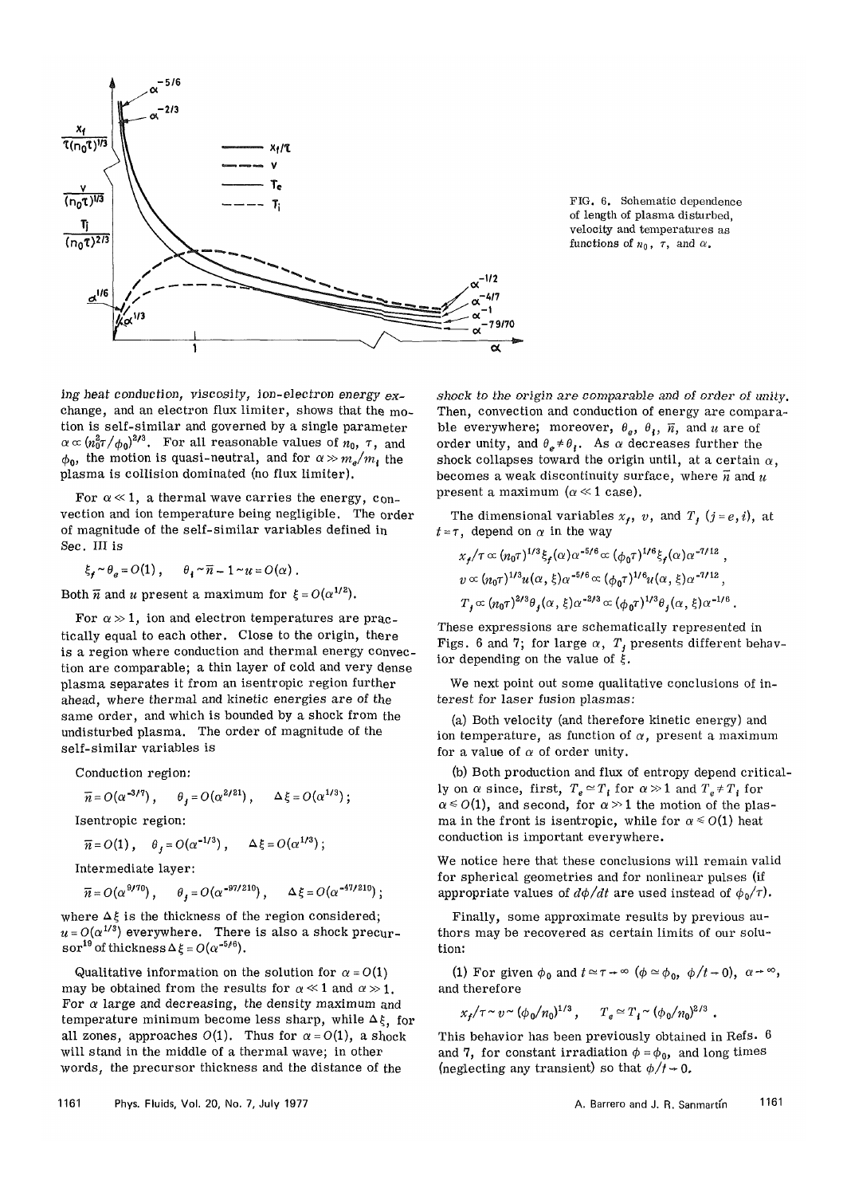

FIG. 6. Schematic dependence of length of plasma disturbed, velocity and temperatures as functions of  $n_0$ ,  $\tau$ , and  $\alpha$ .

*ing* heat conduction, viscosity, ion-electron *energy* exchange, and an electron flux limiter, shows that the motion is self-similar and governed by a single parameter  $\alpha \propto (n_0^2 \tau/\phi_0)^{2/3}$ . For all reasonable values of  $n_0$ ,  $\tau$ , and  $\phi_0$ , the motion is quasi-neutral, and for  $\alpha \gg m_e/m_i$ , the plasma is collision dominated (no flux limiter).

For  $\alpha \ll 1$ , a thermal wave carries the energy, convection and ion temperature being negligible. The order of magnitude of the self-similar variables defined in Sec. III is

 $\xi \cdot \sim \theta_e = O(1)$ ,  $\theta \cdot \sim \overline{n} - 1 \sim u = O(\alpha)$ .

Both  $\overline{n}$  and *u* present a maximum for  $\xi = O(\alpha^{1/2})$ .

For  $\alpha \gg 1$ , ion and electron temperatures are practically equal to each other. Close to the origin, there is a region where conduction and thermal energy convection are comparable; a thin layer of cold and very dense plasma separates it from an isentropic region further ahead, where thermal and kinetic energies are of the same order, and which is bounded by a shock from the undisturbed plasma. The order of magnitude of the self-similar variables is

Conduction region:

$$
\overline{n} = O(\alpha^{-3/7}), \quad \theta_j = O(\alpha^{2/21}), \quad \Delta \xi = O(\alpha^{1/3});
$$
  
Isentropic region:

$$
\overline{n} = O(1)
$$
,  $\theta_j = O(\alpha^{-1/3})$ ,  $\Delta \xi = O(\alpha^{1/3})$ ;

Intermediate layer:

$$
\overline{n} = O(\alpha^{9/70}), \quad \theta_j = O(\alpha^{-97/210}), \quad \Delta \xi = O(\alpha^{-47/210});
$$

where  $\Delta \xi$  is the thickness of the region considered;  $u = O(\alpha^{1/3})$  everywhere. There is also a shock precur- $\text{sort}^{\mathbf{19}}$  of thickness  $\Delta \xi = O(\alpha^{-5/6})$ .

Qualitative information on the solution for  $\alpha = O(1)$ may be obtained from the results for  $\alpha \ll 1$  and  $\alpha \gg 1$ . For  $\alpha$  large and decreasing, the density maximum and temperature minimum become less sharp, while  $\Delta \xi$ , for all zones, approaches  $O(1)$ . Thus for  $\alpha = O(1)$ , a shock will stand in the middle of a thermal wave; in other words, the precursor thickness and the distance of the

shock to the origin are comparable and of order of unity. Then, convection and conduction of energy are comparable everywhere; moreover,  $\theta_e$ ,  $\theta_i$ ,  $\bar{n}$ , and *u* are of order unity, and  $\theta_e \neq \theta_i$ . As  $\alpha$  decreases further the shock collapses toward the origin until, at a certain  $\alpha$ , becomes a weak discontinuity surface, where  $\overline{n}$  and  $u$ present a maximum ( $\alpha \ll 1$  case).

The dimensional variables  $x_f$ , v, and  $T_f$   $(j = e, i)$ , at  $t = \tau$ , depend on  $\alpha$  in the way

$$
x_f/\tau \propto (n_0 \tau)^{1/3} \xi_f(\alpha) \alpha^{-5/6} \propto (\phi_0 \tau)^{1/6} \xi_f(\alpha) \alpha^{-7/12} ,
$$
  
\n
$$
v \propto (n_0 \tau)^{1/3} u(\alpha, \xi) \alpha^{-5/6} \propto (\phi_0 \tau)^{1/6} u(\alpha, \xi) \alpha^{-7/12} ,
$$
  
\n
$$
T_f \propto (n_0 \tau)^{2/3} \theta_f(\alpha, \xi) \alpha^{-2/3} \propto (\phi_0 \tau)^{1/3} \theta_f(\alpha, \xi) \alpha^{-1/6} .
$$

These expressions are schematically represented in Figs. 6 and 7; for large  $\alpha$ ,  $T<sub>f</sub>$  presents different behavior depending on the value of  $\dot{\xi}$ .

We next point out some qualitative conclusions of interest for laser fusion plasmas:

(a) Both velocity (and therefore kinetic energy) and ion temperature, as function of  $\alpha$ , present a maximum for a value of  $\alpha$  of order unity.

(b) Both production and flux of entropy depend critically on  $\alpha$  since, first,  $T_e \approx T_i$  for  $\alpha \gg 1$  and  $T_e \neq T_i$  for  $\alpha \le O(1)$ , and second, for  $\alpha > 1$  the motion of the plasma in the front is isentropic, while for  $\alpha \leq O(1)$  heat conduction is important everywhere.

We notice here that these conclusions will remain valid for spherical geometries and for nonlinear pulses (if appropriate values of  $d\phi/dt$  are used instead of  $\phi_0/\tau$ .

Finally, some approximate results by previous authors may be recovered as certain limits of our solution:

(1) For given  $\phi_0$  and  $t \approx \tau \to \infty$  ( $\phi \approx \phi_0$ ,  $\phi/t \to 0$ ),  $\alpha \to \infty$ , and therefore

$$
x_f/\tau \sim v \sim (\phi_0/n_0)^{1/3}
$$
,  $T_e \approx T_i \sim (\phi_0/n_0)^{2/3}$ .

This behavior has been previously obtained in Refs. 6 and 7, for constant irradiation  $\phi = \phi_0$ , and long times (neglecting any transient) so that  $\phi/t \rightarrow 0$ .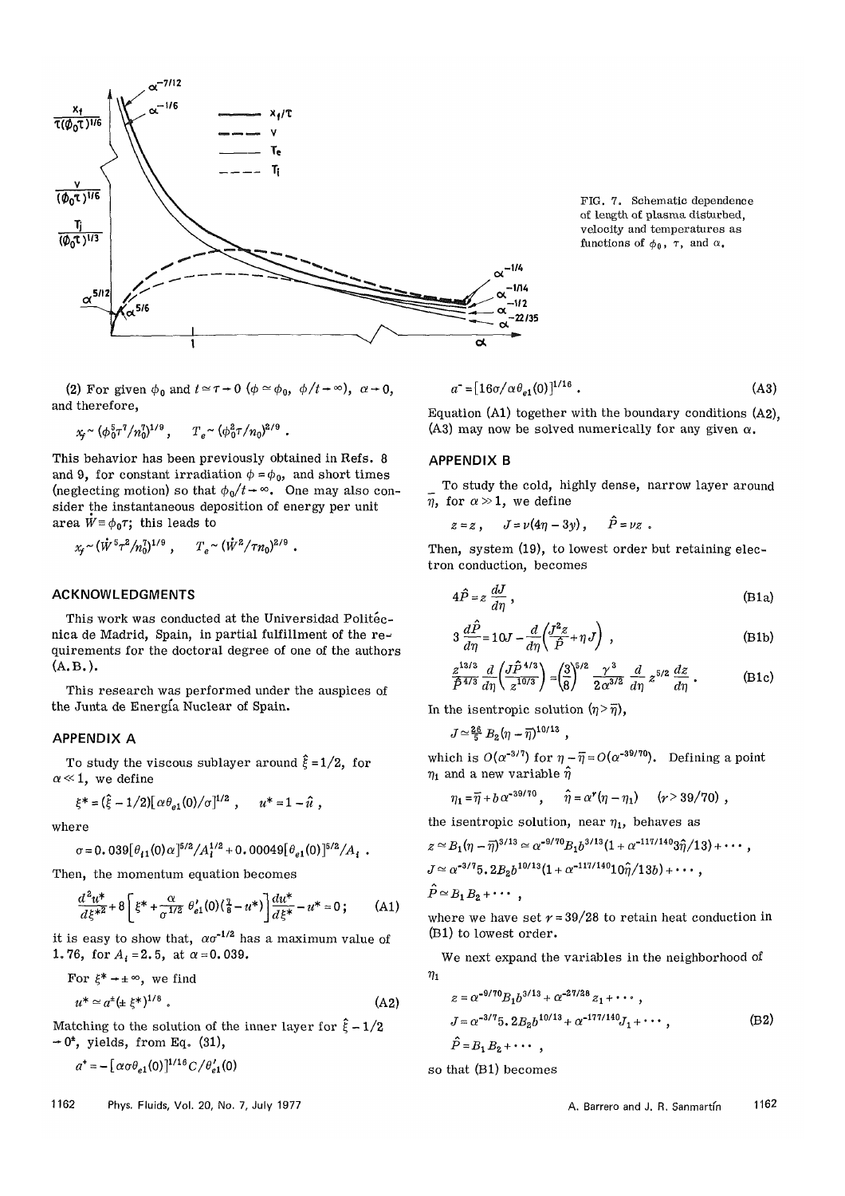

FIG. 7. Schematic dependence of length of plasma disturbed, velocity and temperatures as functions of  $\phi_0$ ,  $\tau$ , and  $\alpha$ .

(2) For given  $\phi_0$  and  $t \approx \tau \to 0$  ( $\phi \approx \phi_0$ ,  $\phi/t \to \infty$ ),  $\alpha \to 0$ , and therefore,

$$
x_{\!\!f} \!\sim (\phi_0^5 \tau^7 / n_0^7)^{1/9} \,, \qquad T_e \!\sim (\phi_0^2 \tau / n_0)^{2/9} \ .
$$

This behavior has been previously obtained in Refs. 8 and 9, for constant irradiation  $\phi = \phi_0$ , and short times (neglecting motion) so that  $\phi_0/t \rightarrow \infty$ . One may also consider the instantaneous deposition of energy per unit area  $W = \phi_0 \tau$ ; this leads to

$$
x_f \sim (\dot{W}^5 \tau^2 / n_0^7)^{1/9}
$$
,  $T_e \sim (\dot{W}^2 / \tau n_0)^{2/9}$ .

## ACKNOWLEDGMENTS

This work was conducted at the Universidad Politecnica de Madrid, Spain, in partial fulfillment of the re-^ quirements for the doctoral degree of one of the authors (A.B.).

This research was performed under the auspices of the Junta de Energia Nuclear of Spain.

## APPENDIX A

To study the viscous sublayer around  $\hat{\xi} = 1/2$ , for  $\alpha \ll 1$ , we define

$$
\xi^* = (\hat{\xi} - 1/2) [\alpha \theta_{e1}(0)/\sigma]^{1/2} , \qquad u^* = 1 - \hat{u} ,
$$

where

$$
\sigma = 0.039 [\theta_{i1}(0)\alpha]^{5/2} / A_i^{1/2} + 0.00049 [\theta_{e1}(0)]^{5/2} / A_i.
$$

Then, the momentum equation becomes

$$
\frac{d^2u^*}{d\xi^{*2}} + 8\left[\xi^* + \frac{\alpha}{\sigma^{1/2}} \theta'_{e1}(0)(\frac{a}{\delta} - u^*)\right] \frac{du^*}{d\xi^*} - u^* = 0; \quad (A1)
$$

it is easy to show that,  $\alpha \sigma^{-1/2}$  has a maximum value of 1.76, for  $A_i = 2.5$ , at  $\alpha = 0.039$ .

For 
$$
\xi^* \to \pm \infty
$$
, we find  
\n $u^* \simeq a^{\pm} (\pm \xi^*)^{1/8}$ . (A2)

Matching to the solution of the inner layer for  $\hat{\xi} - 1/2$  $-0^{\pm}$ , yields, from Eq. (31),

$$
a^* = -\left[\alpha \sigma \theta_{e1}(0)\right]^{1/16} C / \theta'_{e1}(0)
$$

1162 Phys. Fluids, Vol. 20, No. 7, July 1977 **A. Barrero and J. R. Sanmartin** 1162

$$
a^* = [16\sigma/\alpha \theta_{e1}(0)]^{1/16} . \tag{A3}
$$

Equation (Al) together with the boundary conditions (A2), (A3) may now be solved numerically for any given  $\alpha$ .

## APPENDIX B

To study the cold, highly dense, narrow layer around  $\overline{n}$ , for  $\alpha > 1$ , we define

$$
z=z, \quad J=\nu(4\eta-3y), \quad \ddot{P}=\nu z.
$$

Then, system (19), to lowest order but retaining electron conduction, becomes

$$
4\hat{P} = z \frac{dJ}{d\eta},\tag{B1a}
$$

$$
3\frac{d\hat{P}}{d\eta} = 10J - \frac{d}{d\eta} \left(\frac{J^2 z}{\hat{P}} + \eta J\right) ,\qquad (B1b)
$$

$$
\frac{z^{13/3}}{\hat{P}^{4/3}}\frac{d}{d\eta}\left(\frac{J\hat{P}^{4/3}}{z^{10/3}}\right) = \left(\frac{3}{8}\right)^{5/2}\frac{\gamma^3}{2\alpha^{3/2}}\frac{d}{d\eta}z^{5/2}\frac{dz}{d\eta}.
$$
 (B1c)

In the isentropic solution  $(\eta > \overline{\eta})$ ,

$$
J \simeq \frac{26}{5} B_2 (\eta - \overline{\eta})^{10/13} ,
$$

which is  $O(\alpha^{-3/7})$  for  $\eta - \overline{\eta} = O(\alpha^{-39/70})$ . Defining a point  $\eta_1$  and a new variable  $\hat{\eta}$ 

$$
\eta_1 = \overline{\eta} + b \alpha^{-39/70} , \qquad \widehat{\eta} = \alpha^r (\eta - \eta_1) \qquad (r > 39/70) ,
$$

the isentropic solution, near  $\eta_1$ , behaves as

$$
z \simeq B_1(\eta - \overline{\eta})^{3/13} \simeq \alpha^{-9/70} B_1 b^{3/13} (1 + \alpha^{-117/140} 3\hat{\eta}/13) + \cdots,
$$

$$
J \simeq \alpha^{-3/7} 5 \cdot 2 B_2 b^{10/13} (1 + \alpha^{-117/140} 10 \hat{\eta}/13b) + \cdots,
$$

$$
P \simeq B_1 B_2 + \cdots,
$$

where we have set  $r = 39/28$  to retain heat conduction in (Bl) to lowest order.

We next expand the variables in the neighborhood of  $\eta_1$ 

$$
z = \alpha^{-9/70} B_1 b^{3/13} + \alpha^{-27/28} z_1 + \cdots ,
$$
  
\n
$$
J = \alpha^{-3/7} 5 \cdot 2 B_2 b^{10/13} + \alpha^{-177/140} J_1 + \cdots ,
$$
  
\n
$$
\hat{P} = B_1 B_2 + \cdots ,
$$
  
\n(B2)

so that (Bl) becomes